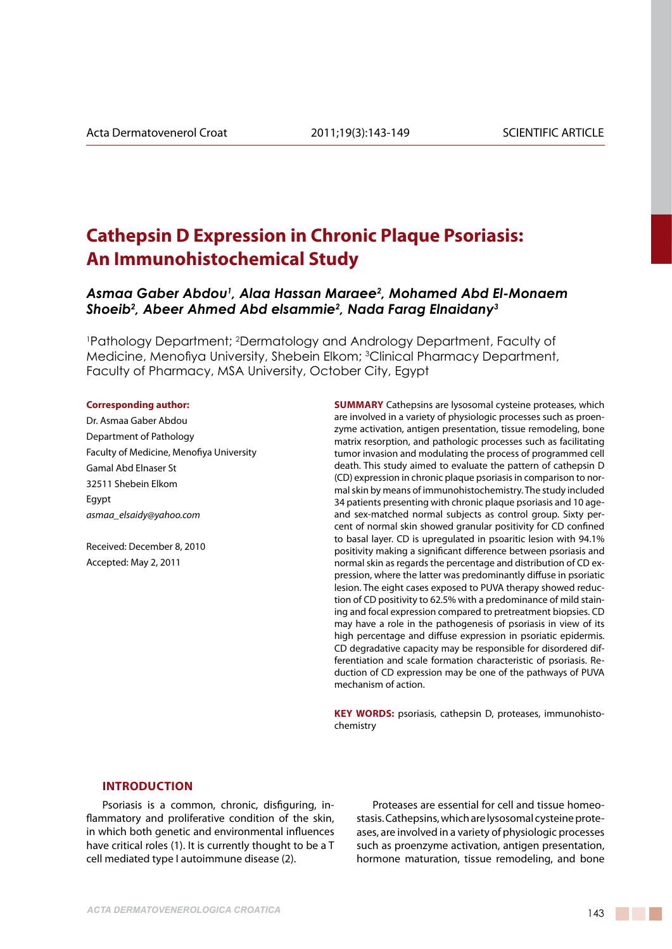# **Cathepsin D Expression in Chronic Plaque Psoriasis: An Immunohistochemical Study**

*Asmaa Gaber Abdou1 , Alaa Hassan Maraee2 , Mohamed Abd El-Monaem Shoeib2 , Abeer Ahmed Abd elsammie2 , Nada Farag Elnaidany3*

1 Pathology Department; 2 Dermatology and Andrology Department, Faculty of Medicine, Menofiya University, Shebein Elkom; <sup>3</sup> Clinical Pharmacy Department, Faculty of Pharmacy, MSA University, October City, Egypt

#### **Corresponding author:**

Dr. Asmaa Gaber Abdou Department of Pathology Faculty of Medicine, Menofiya University Gamal Abd Elnaser St 32511 Shebein Elkom Egypt *asmaa\_elsaidy@yahoo.com*

Received: December 8, 2010 Accepted: May 2, 2011

**SUMMARY** Cathepsins are lysosomal cysteine proteases, which are involved in a variety of physiologic processes such as proenzyme activation, antigen presentation, tissue remodeling, bone matrix resorption, and pathologic processes such as facilitating tumor invasion and modulating the process of programmed cell death. This study aimed to evaluate the pattern of cathepsin D (CD) expression in chronic plaque psoriasis in comparison to normal skin by means of immunohistochemistry. The study included 34 patients presenting with chronic plaque psoriasis and 10 ageand sex-matched normal subjects as control group. Sixty percent of normal skin showed granular positivity for CD confined to basal layer. CD is upregulated in psoaritic lesion with 94.1% positivity making a significant difference between psoriasis and normal skin as regards the percentage and distribution of CD expression, where the latter was predominantly diffuse in psoriatic lesion. The eight cases exposed to PUVA therapy showed reduction of CD positivity to 62.5% with a predominance of mild staining and focal expression compared to pretreatment biopsies. CD may have a role in the pathogenesis of psoriasis in view of its high percentage and diffuse expression in psoriatic epidermis. CD degradative capacity may be responsible for disordered differentiation and scale formation characteristic of psoriasis. Reduction of CD expression may be one of the pathways of PUVA mechanism of action.

KEY WORDS: psoriasis, cathepsin D, proteases, immunohistochemistry

## **Introduction**

Psoriasis is a common, chronic, disfiguring, inflammatory and proliferative condition of the skin, in which both genetic and environmental influences have critical roles (1). It is currently thought to be a T cell mediated type I autoimmune disease (2).

Proteases are essential for cell and tissue homeostasis. Cathepsins, which are lysosomal cysteine proteases, are involved in a variety of physiologic processes such as proenzyme activation, antigen presentation, hormone maturation, tissue remodeling, and bone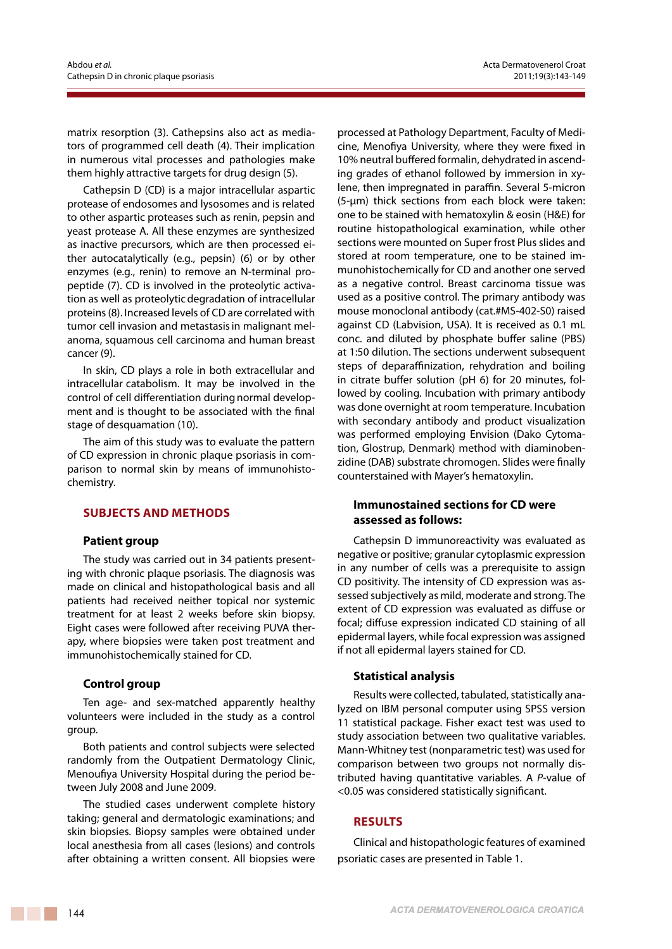matrix resorption (3). Cathepsins also act as mediators of programmed cell death (4). Their implication in numerous vital processes and pathologies make them highly attractive targets for drug design (5).

Cathepsin D (CD) is a major intracellular aspartic protease of endosomes and lysosomes and is related to other aspartic proteases such as renin, pepsin and yeast protease A. All these enzymes are synthesized as inactive precursors, which are then processed either autocatalytically (e.g., pepsin) (6) or by other enzymes (e.g., renin) to remove an N-terminal propeptide (7). CD is involved in the proteolytic activation as well as proteolyticdegradation of intracellular proteins (8). Increased levels of CD are correlated with tumor cell invasion and metastasisin malignant melanoma, squamous cell carcinoma and human breast cancer (9).

In skin, CD plays a role in both extracellular and intracellular catabolism. It may be involved in the control of cell differentiation during normal development and is thought to be associated with the final stage of desquamation (10).

The aim of this study was to evaluate the pattern of CD expression in chronic plaque psoriasis in comparison to normal skin by means of immunohistochemistry.

#### **SUBJECTS and Methods**

#### **Patient group**

The study was carried out in 34 patients presenting with chronic plaque psoriasis. The diagnosis was made on clinical and histopathological basis and all patients had received neither topical nor systemic treatment for at least 2 weeks before skin biopsy. Eight cases were followed after receiving PUVA therapy, where biopsies were taken post treatment and immunohistochemically stained for CD.

#### **Control group**

Ten age- and sex-matched apparently healthy volunteers were included in the study as a control group.

Both patients and control subjects were selected randomly from the Outpatient Dermatology Clinic, Menoufiya University Hospital during the period between July 2008 and June 2009.

The studied cases underwent complete history taking; general and dermatologic examinations; and skin biopsies. Biopsy samples were obtained under local anesthesia from all cases (lesions) and controls after obtaining a written consent. All biopsies were

processed at Pathology Department, Faculty of Medicine, Menofiya University, where they were fixed in 10% neutral buffered formalin, dehydrated in ascending grades of ethanol followed by immersion in xylene, then impregnated in paraffin. Several 5-micron (5-μm) thick sections from each block were taken: one to be stained with hematoxylin & eosin (H&E) for routine histopathological examination, while other sections were mounted on Super frost Plus slides and stored at room temperature, one to be stained immunohistochemically for CD and another one served as a negative control. Breast carcinoma tissue was used as a positive control. The primary antibody was mouse monoclonal antibody (cat.#MS-402-S0) raised against CD (Labvision, USA). It is received as 0.1 mL conc. and diluted by phosphate buffer saline (PBS) at 1:50 dilution. The sections underwent subsequent steps of deparaffinization, rehydration and boiling in citrate buffer solution (pH 6) for 20 minutes, followed by cooling. Incubation with primary antibody was done overnight at room temperature. Incubation with secondary antibody and product visualization was performed employing Envision (Dako Cytomation, Glostrup, Denmark) method with diaminobenzidine (DAB) substrate chromogen. Slides were finally counterstained with Mayer's hematoxylin.

## **Immunostained sections for CD were assessed as follows:**

Cathepsin D immunoreactivity was evaluated as negative or positive; granular cytoplasmic expression in any number of cells was a prerequisite to assign CD positivity. The intensity of CD expression was assessed subjectively as mild, moderate and strong. The extent of CD expression was evaluated as diffuse or focal; diffuse expression indicated CD staining of all epidermal layers, while focal expression was assigned if not all epidermal layers stained for CD.

#### **Statistical analysis**

Results were collected, tabulated, statistically analyzed on IBM personal computer using SPSS version 11 statistical package. Fisher exact test was used to study association between two qualitative variables. Mann-Whitney test (nonparametric test) was used for comparison between two groups not normally distributed having quantitative variables. A *P*-value of <0.05 was considered statistically significant.

#### **Results**

Clinical and histopathologic features of examined psoriatic cases are presented in Table 1.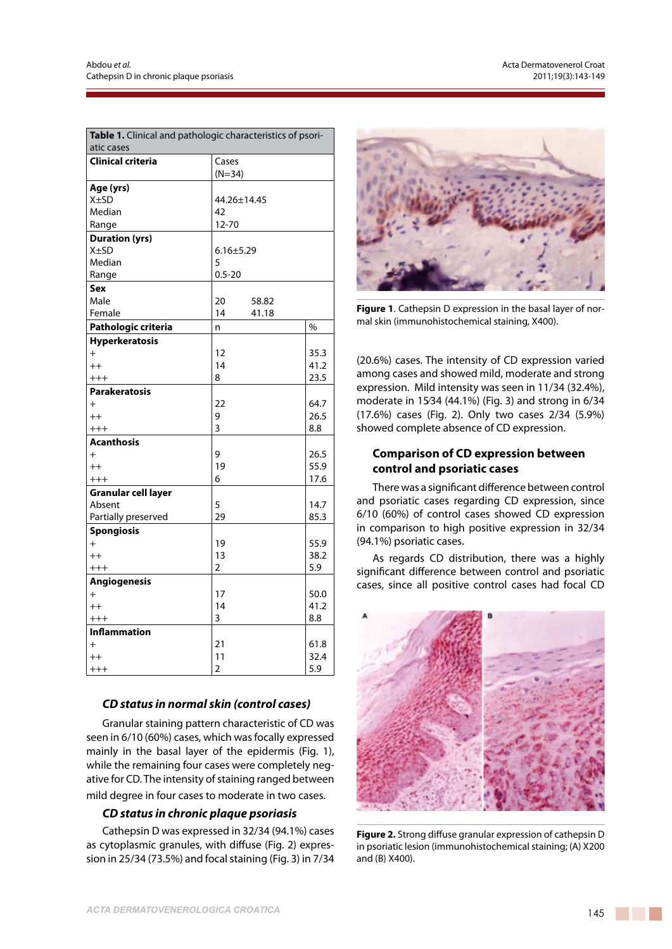| Table 1. Clinical and pathologic characteristics of psori- |                   |      |  |  |  |  |  |
|------------------------------------------------------------|-------------------|------|--|--|--|--|--|
| atic cases                                                 |                   |      |  |  |  |  |  |
| Clinical criteria                                          | Cases<br>$(N=34)$ |      |  |  |  |  |  |
| Age (yrs)                                                  |                   |      |  |  |  |  |  |
| $X + SD$                                                   | 44.26±14.45       |      |  |  |  |  |  |
| Median                                                     | 42                |      |  |  |  |  |  |
| Range                                                      | 12-70             |      |  |  |  |  |  |
| <b>Duration (yrs)</b>                                      |                   |      |  |  |  |  |  |
| $X + SD$                                                   | $6.16 \pm 5.29$   |      |  |  |  |  |  |
| Median                                                     | 5                 |      |  |  |  |  |  |
| Range                                                      | $0.5 - 20$        |      |  |  |  |  |  |
| Sex                                                        |                   |      |  |  |  |  |  |
| Male                                                       | 20<br>58.82       |      |  |  |  |  |  |
| Female                                                     | 14<br>41.18       |      |  |  |  |  |  |
| Pathologic criteria                                        | n                 | $\%$ |  |  |  |  |  |
| <b>Hyperkeratosis</b>                                      |                   |      |  |  |  |  |  |
| $+$                                                        | 12                | 35.3 |  |  |  |  |  |
| $++$                                                       | 14                | 41.2 |  |  |  |  |  |
| $+++$                                                      | 8                 | 23.5 |  |  |  |  |  |
| <b>Parakeratosis</b>                                       |                   |      |  |  |  |  |  |
| $+$                                                        | 22                | 64.7 |  |  |  |  |  |
| $++$                                                       | 9                 | 26.5 |  |  |  |  |  |
| $+++$                                                      | 3                 | 8.8  |  |  |  |  |  |
| <b>Acanthosis</b>                                          |                   |      |  |  |  |  |  |
| $+$                                                        | 9                 | 26.5 |  |  |  |  |  |
| $++$                                                       | 19                | 55.9 |  |  |  |  |  |
| $^{+++}$                                                   | 6                 | 17.6 |  |  |  |  |  |
| <b>Granular cell layer</b>                                 |                   |      |  |  |  |  |  |
| Absent                                                     | 5                 | 14.7 |  |  |  |  |  |
| Partially preserved                                        | 29                | 85.3 |  |  |  |  |  |
| <b>Spongiosis</b>                                          |                   |      |  |  |  |  |  |
| $+$                                                        | 19                | 55.9 |  |  |  |  |  |
| $^{++}$                                                    | 13                | 38.2 |  |  |  |  |  |
| $+++$                                                      | 2                 | 5.9  |  |  |  |  |  |
| <b>Angiogenesis</b>                                        |                   |      |  |  |  |  |  |
| $+$                                                        | 17                | 50.0 |  |  |  |  |  |
| $++$                                                       | 14                | 41.2 |  |  |  |  |  |
| $++++$                                                     | 3                 | 8.8  |  |  |  |  |  |
| <b>Inflammation</b>                                        |                   |      |  |  |  |  |  |
| $+$                                                        | 21                | 61.8 |  |  |  |  |  |
| $++$                                                       | 11                | 32.4 |  |  |  |  |  |
| $+++$                                                      | $\overline{2}$    | 5.9  |  |  |  |  |  |

## *CD status in normal skin (control cases)*

Granular staining pattern characteristic of CD was seen in 6/10 (60%) cases, which was focally expressed mainly in the basal layer of the epidermis (Fig. 1), while the remaining four cases were completely negative for CD. The intensity of staining ranged between mild degree in four cases to moderate in two cases.

## *CD status in chronic plaque psoriasis*

Cathepsin D was expressed in 32/34 (94.1%) cases as cytoplasmic granules, with diffuse (Fig. 2) expression in 25/34 (73.5%) and focal staining (Fig. 3) in 7/34



**Figure 1**. Cathepsin D expression in the basal layer of normal skin (immunohistochemical staining, X400).

(20.6%) cases. The intensity of CD expression varied among cases and showed mild, moderate and strong expression. Mild intensity was seen in 11/34 (32.4%), moderate in 15∕34 (44.1%) (Fig. 3) and strong in 6/34 (17.6%) cases (Fig. 2). Only two cases 2/34 (5.9%) showed complete absence of CD expression.

## **Comparison of CD expression between control and psoriatic cases**

There was a significant difference between control and psoriatic cases regarding CD expression, since 6/10 (60%) of control cases showed CD expression in comparison to high positive expression in 32/34 (94.1%) psoriatic cases.

As regards CD distribution, there was a highly significant difference between control and psoriatic cases, since all positive control cases had focal CD



**Figure 2.** Strong diffuse granular expression of cathepsin D in psoriatic lesion (immunohistochemical staining; (A) X200 and (B) X400).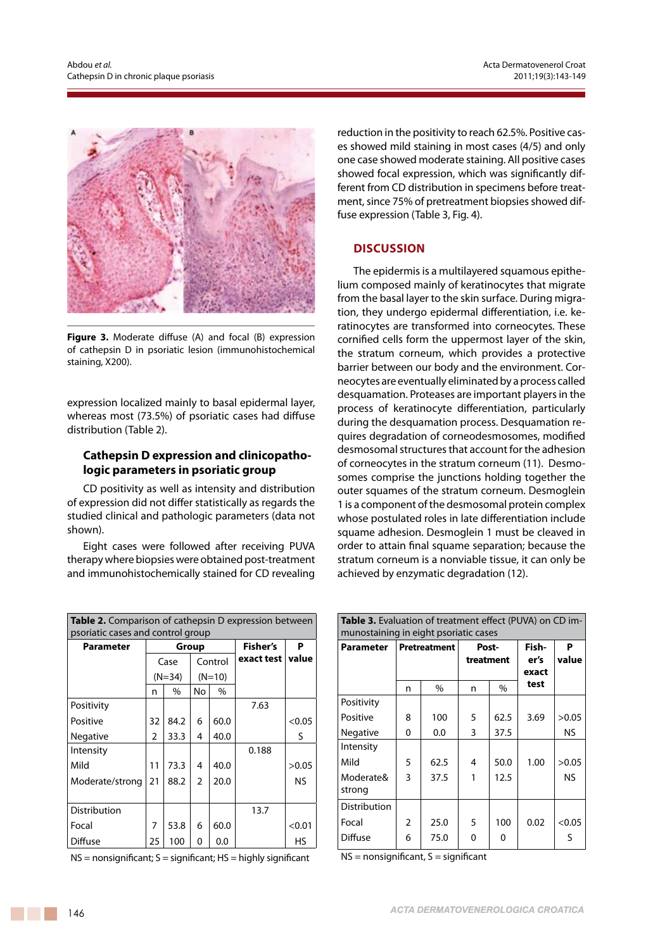

**Figure 3.** Moderate diffuse (A) and focal (B) expression of cathepsin D in psoriatic lesion (immunohistochemical staining, X200).

expression localized mainly to basal epidermal layer, whereas most (73.5%) of psoriatic cases had diffuse distribution (Table 2).

## **Cathepsin D expression and clinicopathologic parameters in psoriatic group**

CD positivity as well as intensity and distribution of expression did not differ statistically as regards the studied clinical and pathologic parameters (data not shown).

Eight cases were followed after receiving PUVA therapy where biopsies were obtained post-treatment and immunohistochemically stained for CD revealing

| <b>Table 2.</b> Comparison of cathepsin D expression between |          |               |                |      |            |        |  |  |  |
|--------------------------------------------------------------|----------|---------------|----------------|------|------------|--------|--|--|--|
| psoriatic cases and control group                            |          |               |                |      |            |        |  |  |  |
| Parameter                                                    | Group    |               |                |      | Fisher's   | P      |  |  |  |
|                                                              | Case     |               | Control        |      | exact test | value  |  |  |  |
|                                                              | $(N=34)$ |               | $(N=10)$       |      |            |        |  |  |  |
|                                                              | n        | $\frac{0}{0}$ | No             | $\%$ |            |        |  |  |  |
| Positivity                                                   |          |               |                |      | 7.63       |        |  |  |  |
| Positive                                                     | 32       | 84.2          | 6              | 60.0 |            | < 0.05 |  |  |  |
| <b>Negative</b>                                              | 2        | 33.3          | 4              | 40.0 |            | S      |  |  |  |
| Intensity                                                    |          |               |                |      | 0.188      |        |  |  |  |
| Mild                                                         | 11       | 73.3          | 4              | 40.0 |            | >0.05  |  |  |  |
| Moderate/strong                                              | 21       | 88.2          | $\overline{2}$ | 20.0 |            | NS.    |  |  |  |
|                                                              |          |               |                |      |            |        |  |  |  |
| Distribution                                                 |          |               |                |      | 13.7       |        |  |  |  |
| Focal                                                        | 7        | 53.8          | 6              | 60.0 |            | < 0.01 |  |  |  |
| <b>Diffuse</b>                                               | 25       | 100           | 0              | 0.0  |            | HS     |  |  |  |

 $NS =$  nonsignificant;  $S =$  significant;  $HS =$  highly significant

reduction in the positivity to reach 62.5%. Positive cases showed mild staining in most cases (4/5) and only one case showed moderate staining. All positive cases showed focal expression, which was significantly different from CD distribution in specimens before treatment, since 75% of pretreatment biopsies showed diffuse expression (Table 3, Fig. 4).

### **Discussion**

The epidermis is a multilayered squamous epithelium composed mainly of keratinocytes that migrate from the basal layer to the skin surface. During migration, they undergo epidermal differentiation, i.e. keratinocytes are transformed into corneocytes. These cornified cells form the uppermost layer of the skin, the stratum corneum, which provides a protective barrier between our body and the environment. Corneocytes are eventually eliminated by a process called desquamation. Proteases are important players in the process of keratinocyte differentiation, particularly during the desquamation process. Desquamation requires degradation of corneodesmosomes, modified desmosomal structures that account for the adhesion of corneocytes in the stratum corneum (11). Desmosomes comprise the junctions holding together the outer squames of the stratum corneum. Desmoglein 1 is a component of the desmosomal protein complex whose postulated roles in late differentiation include squame adhesion. Desmoglein 1 must be cleaved in order to attain final squame separation; because the stratum corneum is a nonviable tissue, it can only be achieved by enzymatic degradation (12).

| <b>Table 3.</b> Evaluation of treatment effect (PUVA) on CD im-<br>munostaining in eight psoriatic cases |                     |               |                    |      |                        |            |  |  |
|----------------------------------------------------------------------------------------------------------|---------------------|---------------|--------------------|------|------------------------|------------|--|--|
| <b>Parameter</b>                                                                                         | <b>Pretreatment</b> |               | Post-<br>treatment |      | Fish-<br>er's<br>exact | P<br>value |  |  |
|                                                                                                          | n                   | $\frac{0}{0}$ | n                  | $\%$ | test                   |            |  |  |
| Positivity                                                                                               |                     |               |                    |      |                        |            |  |  |
| Positive                                                                                                 | 8                   | 100           | 5                  | 62.5 | 3.69                   | >0.05      |  |  |
| <b>Negative</b>                                                                                          | 0                   | 0.0           | 3                  | 37.5 |                        | NS.        |  |  |
| Intensity                                                                                                |                     |               |                    |      |                        |            |  |  |
| Mild                                                                                                     | 5                   | 62.5          | 4                  | 50.0 | 1.00                   | >0.05      |  |  |
| Moderate&                                                                                                | 3                   | 37.5          | 1                  | 12.5 |                        | NS         |  |  |
| strong                                                                                                   |                     |               |                    |      |                        |            |  |  |
| Distribution                                                                                             |                     |               |                    |      |                        |            |  |  |
| Focal                                                                                                    | $\overline{2}$      | 25.0          | 5                  | 100  | 0.02                   | < 0.05     |  |  |
| <b>Diffuse</b>                                                                                           | 6                   | 75.0          | ŋ                  | 0    |                        | S          |  |  |

 $NS =$  nonsignificant,  $S =$  significant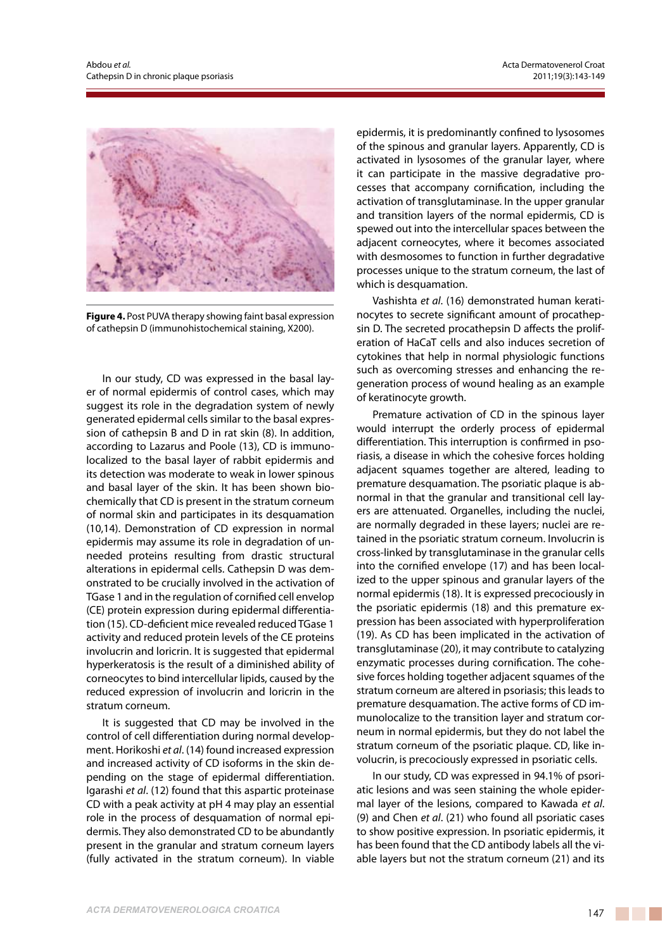

**Figure 4.** Post PUVA therapy showing faint basal expression of cathepsin D (immunohistochemical staining, X200).

In our study, CD was expressed in the basal layer of normal epidermis of control cases, which may suggest its role in the degradation system of newly generated epidermal cells similar to the basal expression of cathepsin B and D in rat skin (8). In addition, according to Lazarus and Poole (13), CD is immunolocalized to the basal layer of rabbit epidermis and its detection was moderate to weak in lower spinous and basal layer of the skin. It has been shown biochemically that CD is present in the stratum corneum of normal skin and participates in its desquamation (10,14). Demonstration of CD expression in normal epidermis may assume its role in degradation of unneeded proteins resulting from drastic structural alterations in epidermal cells. Cathepsin D was demonstrated to be crucially involved in the activation of TGase 1 and in the regulation of cornified cell envelop (CE) protein expression during epidermal differentiation (15). CD-deficient mice revealed reduced TGase 1 activity and reduced protein levels of the CE proteins involucrin and loricrin. It is suggested that epidermal hyperkeratosis is the result of a diminished ability of corneocytes to bind intercellular lipids, caused by the reduced expression of involucrin and loricrin in the stratum corneum.

It is suggested that CD may be involved in the control of cell differentiation during normal development. Horikoshi *et al*. (14) found increased expression and increased activity of CD isoforms in the skin depending on the stage of epidermal differentiation. Igarashi *et al*. (12) found that this aspartic proteinase CD with a peak activity at pH 4 may play an essential role in the process of desquamation of normal epidermis. They also demonstrated CD to be abundantly present in the granular and stratum corneum layers (fully activated in the stratum corneum). In viable epidermis, it is predominantly confined to lysosomes of the spinous and granular layers. Apparently, CD is activated in lysosomes of the granular layer, where it can participate in the massive degradative processes that accompany cornification, including the activation of transglutaminase. In the upper granular and transition layers of the normal epidermis, CD is spewed out into the intercellular spaces between the adjacent corneocytes, where it becomes associated with desmosomes to function in further degradative processes unique to the stratum corneum, the last of which is desquamation.

Vashishta *et al*. (16) demonstrated human keratinocytes to secrete significant amount of procathepsin D. The secreted procathepsin D affects the proliferation of HaCaT cells and also induces secretion of cytokines that help in normal physiologic functions such as overcoming stresses and enhancing the regeneration process of wound healing as an example of keratinocyte growth.

Premature activation of CD in the spinous layer would interrupt the orderly process of epidermal differentiation. This interruption is confirmed in psoriasis, a disease in which the cohesive forces holding adjacent squames together are altered, leading to premature desquamation. The psoriatic plaque is abnormal in that the granular and transitional cell layers are attenuated. Organelles, including the nuclei, are normally degraded in these layers; nuclei are retained in the psoriatic stratum corneum. Involucrin is cross-linked by transglutaminase in the granular cells into the cornified envelope (17) and has been localized to the upper spinous and granular layers of the normal epidermis (18). It is expressed precociously in the psoriatic epidermis (18) and this premature expression has been associated with hyperproliferation (19). As CD has been implicated in the activation of transglutaminase (20), it may contribute to catalyzing enzymatic processes during cornification. The cohesive forces holding together adjacent squames of the stratum corneum are altered in psoriasis; this leads to premature desquamation. The active forms of CD immunolocalize to the transition layer and stratum corneum in normal epidermis, but they do not label the stratum corneum of the psoriatic plaque. CD, like involucrin, is precociously expressed in psoriatic cells.

In our study, CD was expressed in 94.1% of psoriatic lesions and was seen staining the whole epidermal layer of the lesions, compared to Kawada *et al*. (9) and Chen *et al*. (21) who found all psoriatic cases to show positive expression. In psoriatic epidermis, it has been found that the CD antibody labels all the viable layers but not the stratum corneum (21) and its

a sa Tanzania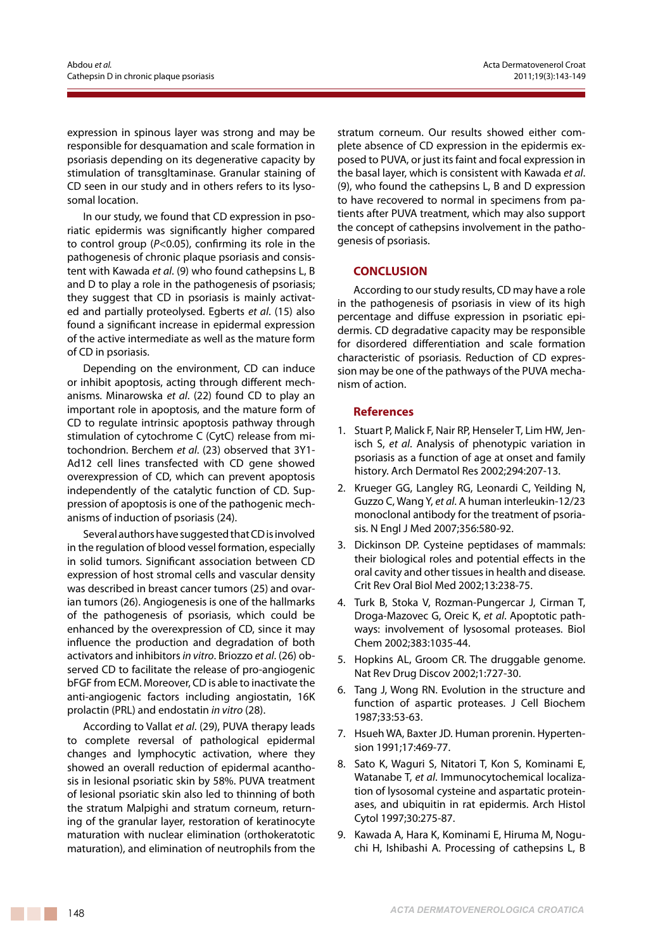expression in spinous layer was strong and may be responsible for desquamation and scale formation in psoriasis depending on its degenerative capacity by stimulation of transgltaminase. Granular staining of CD seen in our study and in others refers to its lysosomal location.

In our study, we found that CD expression in psoriatic epidermis was significantly higher compared to control group (*p*<0.05), confirming its role in the pathogenesis of chronic plaque psoriasis and consistent with Kawada *et al*. (9) who found cathepsins L, B and D to play a role in the pathogenesis of psoriasis; they suggest that CD in psoriasis is mainly activated and partially proteolysed. Egberts *et al*. (15) also found a significant increase in epidermal expression of the active intermediate as well as the mature form of CD in psoriasis.

Depending on the environment, CD can induce or inhibit apoptosis, acting through different mechanisms. Minarowska *et al*. (22) found CD to play an important role in apoptosis, and the mature form of CD to regulate intrinsic apoptosis pathway through stimulation of cytochrome C (CytC) release from mitochondrion. Berchem *et al*. (23) observed that 3Y1- Ad12 cell lines transfected with CD gene showed overexpression of CD, which can prevent apoptosis independently of the catalytic function of CD. Suppression of apoptosis is one of the pathogenic mechanisms of induction of psoriasis (24).

Several authors have suggested that CD is involved in the regulation of blood vessel formation, especially in solid tumors. Significant association between CD expression of host stromal cells and vascular density was described in breast cancer tumors (25) and ovarian tumors (26). Angiogenesis is one of the hallmarks of the pathogenesis of psoriasis, which could be enhanced by the overexpression of CD, since it may influence the production and degradation of both activators and inhibitors *in vitro*. Briozzo *et al*. (26) observed CD to facilitate the release of pro-angiogenic bFGF from ECM. Moreover, CD is able to inactivate the anti-angiogenic factors including angiostatin, 16K prolactin (PRL) and endostatin *in vitro* (28).

According to Vallat *et al*. (29), PUVA therapy leads to complete reversal of pathological epidermal changes and lymphocytic activation, where they showed an overall reduction of epidermal acanthosis in lesional psoriatic skin by 58%. PUVA treatment of lesional psoriatic skin also led to thinning of both the stratum Malpighi and stratum corneum, returning of the granular layer, restoration of keratinocyte maturation with nuclear elimination (orthokeratotic maturation), and elimination of neutrophils from the

stratum corneum. Our results showed either complete absence of CD expression in the epidermis exposed to PUVA, or just its faint and focal expression in the basal layer, which is consistent with Kawada *et al*. (9), who found the cathepsins L, B and D expression to have recovered to normal in specimens from patients after PUVA treatment, which may also support the concept of cathepsins involvement in the pathogenesis of psoriasis.

## **CONCLUSION**

According to our study results, CD may have a role in the pathogenesis of psoriasis in view of its high percentage and diffuse expression in psoriatic epidermis. CD degradative capacity may be responsible for disordered differentiation and scale formation characteristic of psoriasis. Reduction of CD expression may be one of the pathways of the PUVA mechanism of action.

#### **References**

- 1. Stuart P, Malick F, Nair RP, Henseler T, Lim HW, Jenisch S, *et al*. Analysis of phenotypic variation in psoriasis as a function of age at onset and family history. Arch Dermatol Res 2002;294:207-13.
- 2. Krueger GG, Langley RG, Leonardi C, Yeilding N, Guzzo C, Wang Y, *et al*. A human interleukin-12/23 monoclonal antibody for the treatment of psoriasis. N Engl J Med 2007;356:580-92.
- 3. Dickinson DP. Cysteine peptidases of mammals: their biological roles and potential effects in the oral cavity and other tissues in health and disease. Crit Rev Oral Biol Med 2002;13:238-75.
- 4. Turk B, Stoka V, Rozman-Pungercar J, Cirman T, Droga-Mazovec G, Oreic K, *et al*. Apoptotic pathways: involvement of lysosomal proteases. Biol Chem 2002;383:1035-44.
- 5. Hopkins AL, Groom CR. The druggable genome. Nat Rev Drug Discov 2002;1:727-30.
- 6. Tang J, Wong RN. Evolution in the structure and function of aspartic proteases. J Cell Biochem 1987;33:53-63.
- 7. Hsueh WA, Baxter JD. Human prorenin. Hypertension 1991;17:469-77.
- 8. Sato K, Waguri S, Nitatori T, Kon S, Kominami E, Watanabe T, *et al*. Immunocytochemical localization of lysosomal cysteine and aspartatic proteinases, and ubiquitin in rat epidermis. Arch Histol Cytol 1997;30:275-87.
- 9. Kawada A, Hara K, Kominami E, Hiruma M, Noguchi H, Ishibashi A. Processing of cathepsins L, B